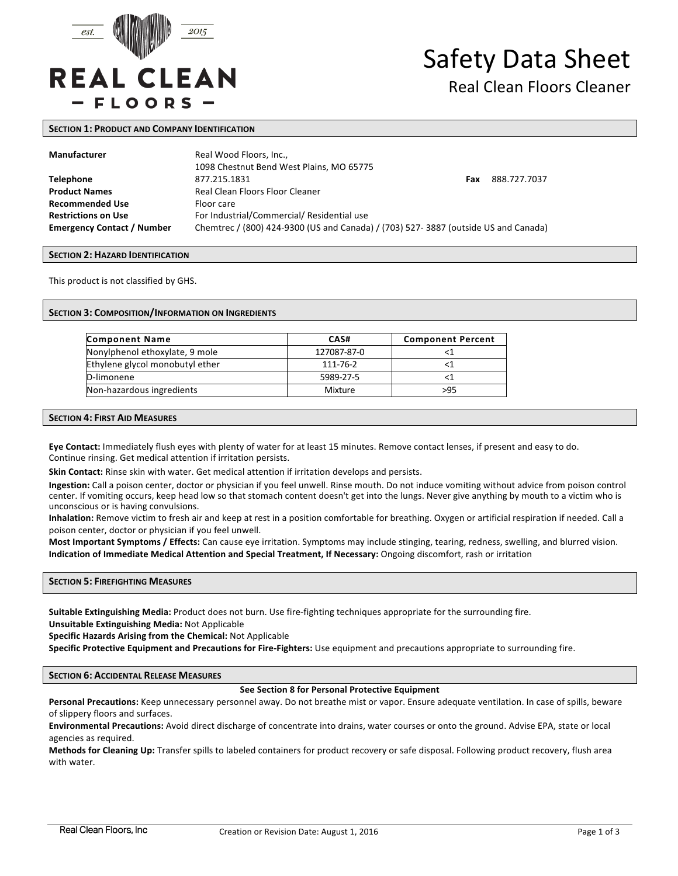

# Safety Data Sheet

# Real Clean Floors Cleaner

#### **SECTION 1: PRODUCT AND COMPANY IDENTIFICATION**

| Manufacturer                      | Real Wood Floors, Inc.,<br>1098 Chestnut Bend West Plains, MO 65775                |     |              |
|-----------------------------------|------------------------------------------------------------------------------------|-----|--------------|
| <b>Telephone</b>                  | 877.215.1831                                                                       | Fax | 888.727.7037 |
| <b>Product Names</b>              | Real Clean Floors Floor Cleaner                                                    |     |              |
| <b>Recommended Use</b>            | Floor care                                                                         |     |              |
| <b>Restrictions on Use</b>        | For Industrial/Commercial/ Residential use                                         |     |              |
| <b>Emergency Contact / Number</b> | Chemtrec / (800) 424-9300 (US and Canada) / (703) 527-3887 (outside US and Canada) |     |              |

#### **SECTION 2: HAZARD IDENTIFICATION**

This product is not classified by GHS.

#### **SECTION 3: COMPOSITION/INFORMATION ON INGREDIENTS**

| <b>Component Name</b>           | CAS#        | <b>Component Percent</b> |
|---------------------------------|-------------|--------------------------|
| Nonylphenol ethoxylate, 9 mole  | 127087-87-0 |                          |
| Ethylene glycol monobutyl ether | 111-76-2    |                          |
| D-limonene                      | 5989-27-5   |                          |
| Non-hazardous ingredients       | Mixture     | >95                      |

#### **SECTION 4: FIRST AID MEASURES**

Eye Contact: Immediately flush eyes with plenty of water for at least 15 minutes. Remove contact lenses, if present and easy to do. Continue rinsing. Get medical attention if irritation persists.

**Skin Contact:** Rinse skin with water. Get medical attention if irritation develops and persists.

Ingestion: Call a poison center, doctor or physician if you feel unwell. Rinse mouth. Do not induce vomiting without advice from poison control center. If vomiting occurs, keep head low so that stomach content doesn't get into the lungs. Never give anything by mouth to a victim who is unconscious or is having convulsions.

Inhalation: Remove victim to fresh air and keep at rest in a position comfortable for breathing. Oxygen or artificial respiration if needed. Call a poison center, doctor or physician if you feel unwell.

Most Important Symptoms / Effects: Can cause eye irritation. Symptoms may include stinging, tearing, redness, swelling, and blurred vision. **Indication of Immediate Medical Attention and Special Treatment, If Necessary:** Ongoing discomfort, rash or irritation

**SECTION 5: FIREFIGHTING MEASURES** 

Suitable Extinguishing Media: Product does not burn. Use fire-fighting techniques appropriate for the surrounding fire. **Unsuitable Extinguishing Media:** Not Applicable

**Specific Hazards Arising from the Chemical:** Not Applicable

Specific Protective Equipment and Precautions for Fire-Fighters: Use equipment and precautions appropriate to surrounding fire.

#### **SECTION 6: ACCIDENTAL RELEASE MEASURES**

#### **See Section 8 for Personal Protective Equipment**

Personal Precautions: Keep unnecessary personnel away. Do not breathe mist or vapor. Ensure adequate ventilation. In case of spills, beware of slippery floors and surfaces.

**Environmental Precautions:** Avoid direct discharge of concentrate into drains, water courses or onto the ground. Advise EPA, state or local agencies as required.

**Methods for Cleaning Up:** Transfer spills to labeled containers for product recovery or safe disposal. Following product recovery, flush area with water.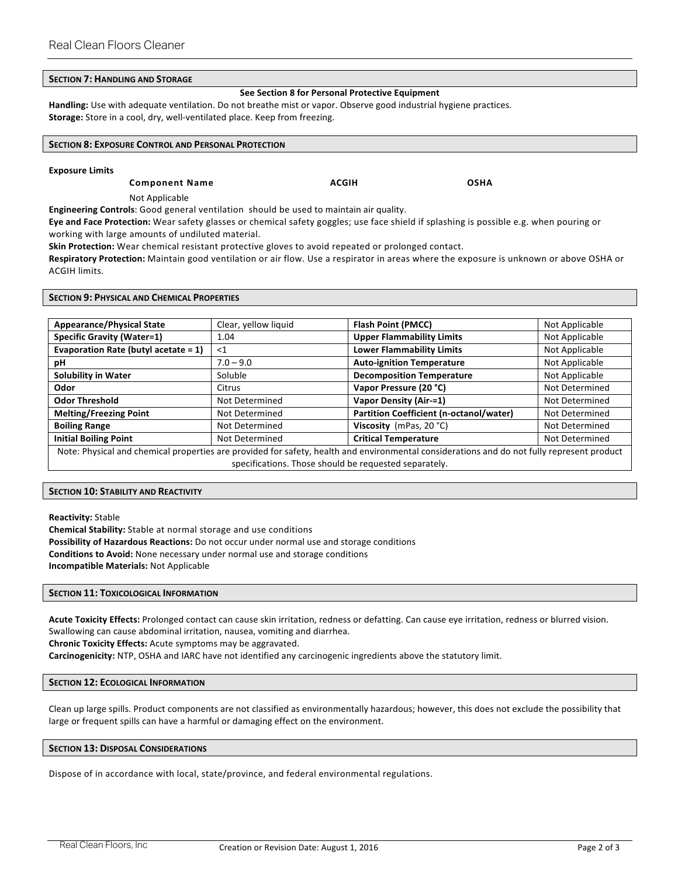# **SECTION 7: HANDLING AND STORAGE**

#### **See Section 8 for Personal Protective Equipment**

Handling: Use with adequate ventilation. Do not breathe mist or vapor. Observe good industrial hygiene practices. **Storage:** Store in a cool, dry, well-ventilated place. Keep from freezing.

## **SECTION 8: EXPOSURE CONTROL AND PERSONAL PROTECTION**

#### **Exposure Limits**

**Component Name ACGIH COMPONENT ACGIH COMPONENT** 

Not Applicable

**Engineering Controls**: Good general ventilation should be used to maintain air quality.

Eye and Face Protection: Wear safety glasses or chemical safety goggles; use face shield if splashing is possible e.g. when pouring or working with large amounts of undiluted material.

**Skin Protection:** Wear chemical resistant protective gloves to avoid repeated or prolonged contact.

Respiratory Protection: Maintain good ventilation or air flow. Use a respirator in areas where the exposure is unknown or above OSHA or **ACGIH limits.** 

#### **SECTION 9: PHYSICAL AND CHEMICAL PROPERTIES**

| <b>Appearance/Physical State</b>                                                                                                           | Clear, yellow liquid | <b>Flash Point (PMCC)</b>               | Not Applicable |  |  |
|--------------------------------------------------------------------------------------------------------------------------------------------|----------------------|-----------------------------------------|----------------|--|--|
| <b>Specific Gravity (Water=1)</b>                                                                                                          | 1.04                 | <b>Upper Flammability Limits</b>        | Not Applicable |  |  |
| Evaporation Rate (butyl acetate = 1)                                                                                                       | $<$ 1                | <b>Lower Flammability Limits</b>        | Not Applicable |  |  |
| рH                                                                                                                                         | $7.0 - 9.0$          | <b>Auto-ignition Temperature</b>        | Not Applicable |  |  |
| <b>Solubility in Water</b>                                                                                                                 | Soluble              | <b>Decomposition Temperature</b>        | Not Applicable |  |  |
| Odor                                                                                                                                       | Citrus               | Vapor Pressure (20 °C)                  | Not Determined |  |  |
| <b>Odor Threshold</b>                                                                                                                      | Not Determined       | Vapor Density (Air-=1)                  | Not Determined |  |  |
| <b>Melting/Freezing Point</b>                                                                                                              | Not Determined       | Partition Coefficient (n-octanol/water) | Not Determined |  |  |
| <b>Boiling Range</b>                                                                                                                       | Not Determined       | Viscosity (mPas, 20 °C)                 | Not Determined |  |  |
| <b>Initial Boiling Point</b>                                                                                                               | Not Determined       | <b>Critical Temperature</b>             | Not Determined |  |  |
| Note: Physical and chemical properties are provided for safety, health and environmental considerations and do not fully represent product |                      |                                         |                |  |  |
| specifications. Those should be requested separately.                                                                                      |                      |                                         |                |  |  |

#### **SECTION 10: STABILITY AND REACTIVITY**

**Reactivity:** Stable **Chemical Stability:** Stable at normal storage and use conditions **Possibility of Hazardous Reactions:** Do not occur under normal use and storage conditions **Conditions to Avoid:** None necessary under normal use and storage conditions **Incompatible Materials:** Not Applicable 

#### **SECTION 11: TOXICOLOGICAL INFORMATION**

Acute Toxicity Effects: Prolonged contact can cause skin irritation, redness or defatting. Can cause eye irritation, redness or blurred vision. Swallowing can cause abdominal irritation, nausea, vomiting and diarrhea.

**Chronic Toxicity Effects:** Acute symptoms may be aggravated.

Carcinogenicity: NTP, OSHA and IARC have not identified any carcinogenic ingredients above the statutory limit.

#### **SECTION 12: ECOLOGICAL INFORMATION**

Clean up large spills. Product components are not classified as environmentally hazardous; however, this does not exclude the possibility that large or frequent spills can have a harmful or damaging effect on the environment.

# **SECTION 13: DISPOSAL CONSIDERATIONS**

Dispose of in accordance with local, state/province, and federal environmental regulations.